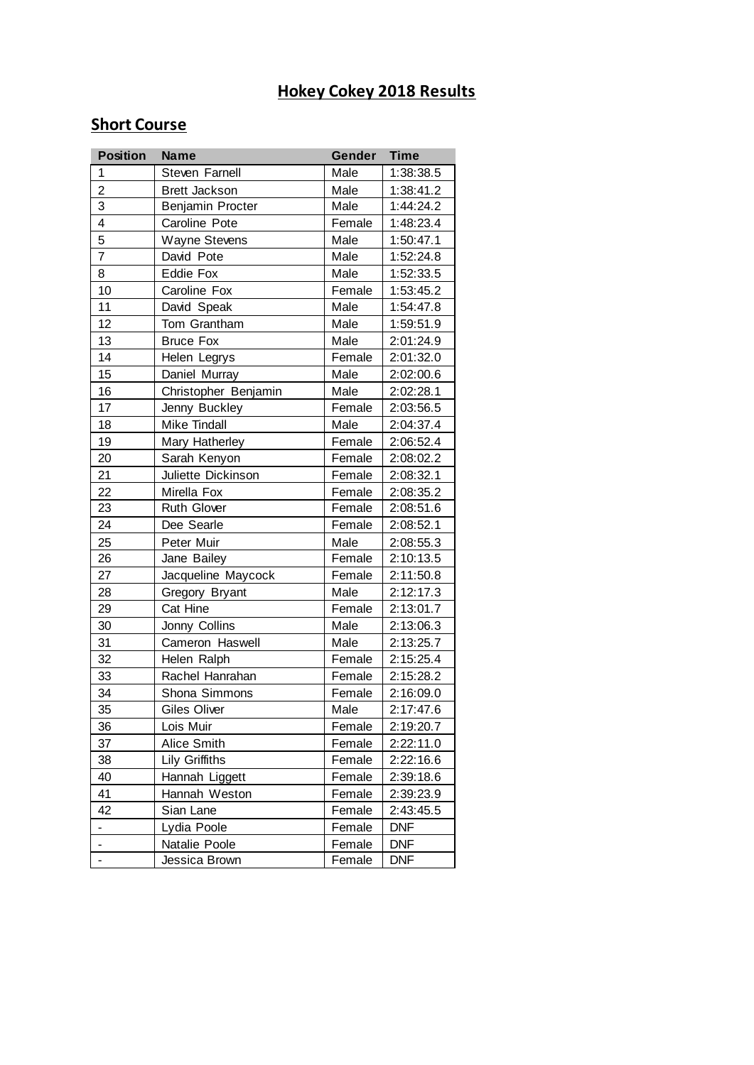## **Hokey Cokey 2018 Results**

## **Short Course**

| <b>Position</b>          | Name                  | Gender | <b>Time</b> |
|--------------------------|-----------------------|--------|-------------|
| 1                        | Steven Farnell        | Male   | 1:38:38.5   |
| $\overline{c}$           | <b>Brett Jackson</b>  | Male   | 1:38:41.2   |
| $\overline{3}$           | Benjamin Procter      | Male   | 1:44:24.2   |
| $\overline{\mathbf{4}}$  | Caroline Pote         | Female | 1:48:23.4   |
| 5                        | Wayne Stevens         | Male   | 1:50:47.1   |
| $\overline{7}$           | David Pote            | Male   | 1:52:24.8   |
| 8                        | <b>Eddie Fox</b>      | Male   | 1:52:33.5   |
| 10                       | Caroline Fox          | Female | 1:53:45.2   |
| 11                       | David Speak           | Male   | 1:54:47.8   |
| 12                       | Tom Grantham          | Male   | 1:59:51.9   |
| 13                       | <b>Bruce Fox</b>      | Male   | 2:01:24.9   |
| 14                       | Helen Legrys          | Female | 2:01:32.0   |
| 15                       | Daniel Murray         | Male   | 2:02:00.6   |
| 16                       | Christopher Benjamin  | Male   | 2:02:28.1   |
| 17                       | Jenny Buckley         | Female | 2:03:56.5   |
| 18                       | <b>Mike Tindall</b>   | Male   | 2:04:37.4   |
| 19                       | Mary Hatherley        | Female | 2:06:52.4   |
| 20                       | Sarah Kenyon          | Female | 2:08:02.2   |
| 21                       | Juliette Dickinson    | Female | 2:08:32.1   |
| 22                       | Mirella Fox           | Female | 2:08:35.2   |
| 23                       | <b>Ruth Glover</b>    | Female | 2:08:51.6   |
| 24                       | Dee Searle            | Female | 2:08:52.1   |
| 25                       | Peter Muir            | Male   | 2:08:55.3   |
| 26                       | Jane Bailey           | Female | 2:10:13.5   |
| 27                       | Jacqueline Maycock    | Female | 2:11:50.8   |
| 28                       | Gregory Bryant        | Male   | 2:12:17.3   |
| 29                       | Cat Hine              | Female | 2:13:01.7   |
| 30                       | Jonny Collins         | Male   | 2:13:06.3   |
| 31                       | Cameron Haswell       | Male   | 2:13:25.7   |
| 32                       | Helen Ralph           | Female | 2:15:25.4   |
| 33                       | Rachel Hanrahan       | Female | 2:15:28.2   |
| 34                       | Shona Simmons         | Female | 2:16:09.0   |
| 35                       | Giles Oliver          | Male   | 2:17:47.6   |
| 36                       | Lois Muir             | Female | 2:19:20.7   |
| 37                       | <b>Alice Smith</b>    | Female | 2:22:11.0   |
| 38                       | <b>Lily Griffiths</b> | Female | 2:22:16.6   |
| 40                       | Hannah Liggett        | Female | 2:39:18.6   |
| 41                       | Hannah Weston         | Female | 2:39:23.9   |
| 42                       | Sian Lane             | Female | 2:43:45.5   |
| $\overline{\phantom{0}}$ | Lydia Poole           | Female | <b>DNF</b>  |
|                          | Natalie Poole         | Female | <b>DNF</b>  |
|                          | Jessica Brown         | Female | <b>DNF</b>  |